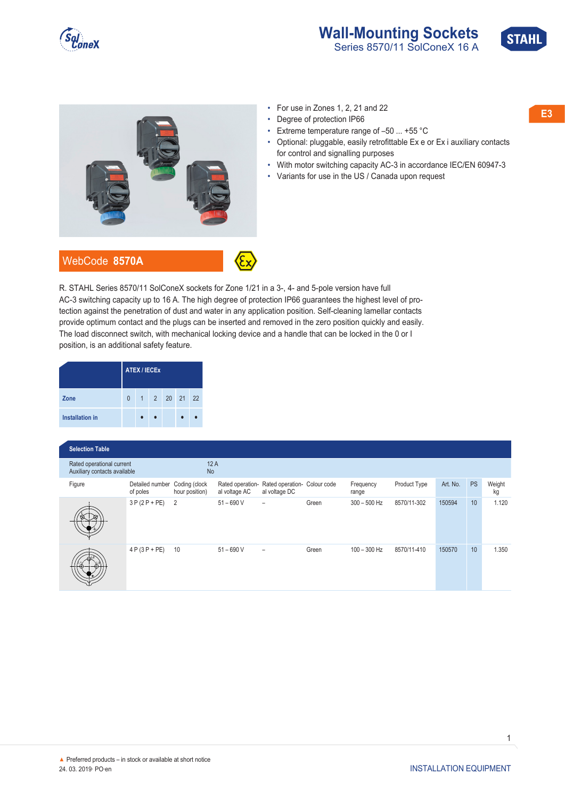





- Degree of protection IP66
- Extreme temperature range of –50 ... +55 °C
- Optional: pluggable, easily retrofittable Ex e or Ex i auxiliary contacts for control and signalling purposes
- With motor switching capacity AC-3 in accordance IEC/EN 60947-3
- Variants for use in the US / Canada upon request

R. STAHL Series 8570/11 SolConeX sockets for Zone 1/21 in a 3-, 4- and 5-pole version have full AC-3 switching capacity up to 16 A. The high degree of protection IP66 guarantees the highest level of protection against the penetration of dust and water in any application position. Self-cleaning lamellar contacts provide optimum contact and the plugs can be inserted and removed in the zero position quickly and easily. The load disconnect switch, with mechanical locking device and a handle that can be locked in the 0 or I position, is an additional safety feature.

|                        | <b>ATEX / IECEX</b> |  |  |              |  |  |  |  |  |  |  |
|------------------------|---------------------|--|--|--------------|--|--|--|--|--|--|--|
| Zone                   | $\Omega$            |  |  | 1 2 20 21 22 |  |  |  |  |  |  |  |
| <b>Installation in</b> |                     |  |  |              |  |  |  |  |  |  |  |

| <b>Selection Table</b>                                    |                             |                                 |                                   |                                               |       |                    |              |          |           |              |  |  |  |
|-----------------------------------------------------------|-----------------------------|---------------------------------|-----------------------------------|-----------------------------------------------|-------|--------------------|--------------|----------|-----------|--------------|--|--|--|
| Rated operational current<br>Auxiliary contacts available |                             | 12A<br><b>No</b>                |                                   |                                               |       |                    |              |          |           |              |  |  |  |
| Figure                                                    | Detailed number<br>of poles | Coding (clock<br>hour position) | Rated operation-<br>al voltage AC | Rated operation- Colour code<br>al voltage DC |       | Frequency<br>range | Product Type | Art. No. | <b>PS</b> | Weight<br>kg |  |  |  |
|                                                           | $3P(2P+PE)$                 | 2                               | $51 - 690V$                       | $\overline{\phantom{0}}$                      | Green | $300 - 500$ Hz     | 8570/11-302  | 150594   | 10        | 1.120        |  |  |  |
|                                                           | $4 P (3 P + P E)$           | 10                              | $51 - 690V$                       | $\overline{\phantom{0}}$                      | Green | $100 - 300$ Hz     | 8570/11-410  | 150570   | 10        | 1.350        |  |  |  |

1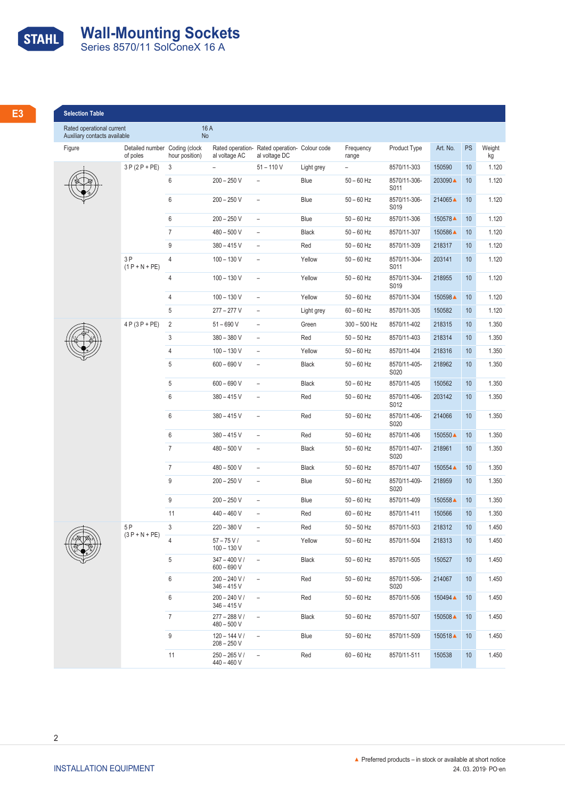## **STAHL Wall-Mounting Sockets**<br>
Series 8570/11 SolConeX 16 A

| __                                     |  |
|----------------------------------------|--|
| <b>Service Service</b><br><b>STATE</b> |  |
| -<br><b>Service Service</b>            |  |
| <b>Service Service</b><br>$\sim$       |  |
|                                        |  |

| Rated operational current<br>Auxiliary contacts available |                                           | 16 A<br>No      |                                    |                                                                |            |                    |                      |             |    |              |
|-----------------------------------------------------------|-------------------------------------------|-----------------|------------------------------------|----------------------------------------------------------------|------------|--------------------|----------------------|-------------|----|--------------|
| Figure                                                    | Detailed number Coding (clock<br>of poles | hour position)  | al voltage AC                      | Rated operation- Rated operation- Colour code<br>al voltage DC |            | Frequency<br>range | Product Type         | Art. No. PS |    | Weight<br>kg |
|                                                           | $3P(2P+PE)$ 3                             |                 |                                    | $51 - 110 V$                                                   | Light grey | $\sim$             | 8570/11-303          | 150590      | 10 | 1.120        |
|                                                           |                                           | 6               | $200 - 250 V$                      | $\sim$                                                         | Blue       | $50 - 60$ Hz       | 8570/11-306-<br>S011 | 203090▲ 10  |    | 1.120        |
|                                                           |                                           | 6               | $200 - 250$ V                      | $\sim$                                                         | Blue       | $50 - 60$ Hz       | 8570/11-306-<br>S019 | 214065▲ 10  |    | 1.120        |
|                                                           |                                           | 6               | $200 - 250$ V $-$                  |                                                                | Blue       | $50 - 60$ Hz       | 8570/11-306          | 150578▲ 10  |    | 1.120        |
|                                                           |                                           | $\overline{7}$  | $480 - 500$ V $-$                  |                                                                | Black      | $50 - 60$ Hz       | 8570/11-307          | 150586▲ 10  |    | 1.120        |
|                                                           |                                           | 9               | $380 - 415V -$                     |                                                                | Red        | 50 – 60 Hz         | 8570/11-309          | 218317      | 10 | 1.120        |
|                                                           | 3P<br>$(1 P + N + PE)$                    | $\Delta$        | $100 - 130V -$                     |                                                                | Yellow     | $50 - 60$ Hz       | 8570/11-304-<br>S011 | 203141      | 10 | 1.120        |
|                                                           |                                           | $\overline{4}$  | $100 - 130V -$                     |                                                                | Yellow     | $50 - 60$ Hz       | 8570/11-304-<br>S019 | 218955      | 10 | 1.120        |
|                                                           |                                           | $\overline{4}$  | $100 - 130 V -$                    |                                                                | Yellow     | $50 - 60$ Hz       | 8570/11-304          | 150598▲     | 10 | 1.120        |
|                                                           |                                           | 5               | $277 - 277$ V $-$                  |                                                                | Light grey | $60 - 60$ Hz       | 8570/11-305          | 150582      | 10 | 1.120        |
|                                                           | $4 P (3 P + P E) 2$                       |                 | $51 - 690$ V                       | $\sim$                                                         | Green      | 300 - 500 Hz       | 8570/11-402          | 218315      | 10 | 1.350        |
|                                                           |                                           | 3               | $380 - 380$ V $-$                  |                                                                | Red        | $50 - 50$ Hz       | 8570/11-403          | 218314      | 10 | 1.350        |
|                                                           |                                           | $\overline{4}$  | $100 - 130 V -$                    |                                                                | Yellow     | $50 - 60$ Hz       | 8570/11-404          | 218316      | 10 | 1.350        |
|                                                           |                                           | $5\overline{)}$ | $600 - 690 V -$                    |                                                                | Black      | 50 – 60 Hz         | 8570/11-405-<br>S020 | 218962      | 10 | 1.350        |
|                                                           |                                           | 5               | $600 - 690 V$                      | $\sim$ 100 $\pm$                                               | Black      | $50 - 60$ Hz       | 8570/11-405          | 150562      | 10 | 1.350        |
|                                                           |                                           | . რ             | $380 - 415V -$                     |                                                                | Red        | $50 - 60$ Hz       | 8570/11-406-<br>S012 | 203142      | 10 | 1.350        |
|                                                           |                                           | 6               | $380 - 415$ V –                    |                                                                | Red        | 50 – 60 Hz         | 8570/11-406-<br>S020 | 214066      | 10 | 1.350        |
|                                                           |                                           | 6               | $380 - 415$ V –                    |                                                                | Red        | $50 - 60$ Hz       | 8570/11-406          | 150550▲ 10  |    | 1.350        |
|                                                           |                                           | $\overline{7}$  | 480 – 500 V                        | $\sim$                                                         | Black      | $50 - 60$ Hz       | 8570/11-407-<br>S020 | 218961      | 10 | 1.350        |
|                                                           |                                           | $\overline{7}$  | $480 - 500$ V $-$                  |                                                                | Black      | $50 - 60$ Hz       | 8570/11-407          | 150554 ▲    | 10 | 1.350        |
|                                                           |                                           | 9               | $200 - 250$ V $-$                  |                                                                | Blue       | $50 - 60$ Hz       | 8570/11-409-         | 218959      | 10 | 1.350        |
|                                                           |                                           | 9               | 200 – 250 V                        | $\sim$                                                         | Blue       | $50 - 60$ Hz       | S020<br>8570/11-409  | 150558 ▲    | 10 | 1.350        |
|                                                           |                                           | 11              | $440 - 460$ V $-$                  |                                                                | Red        | $60 - 60$ Hz       | 8570/11-411          | 150566      | 10 | 1.350        |
|                                                           | 5 P                                       |                 | 220 – 380 V                        | $\sim$                                                         | Red        | $50 - 50$ Hz       | 8570/11-503          | 218312      | 10 | 1.450        |
|                                                           | $(3P + N + PE)$                           | $\overline{4}$  | $57 - 75 V/$<br>$100 - 130 V$      | $\sim$ $-$                                                     | Yellow     | $50 - 60$ Hz       | 8570/11-504          | 218313      | 10 | 1.450        |
|                                                           |                                           | 5               | $347 - 400 V / -$                  |                                                                | Black      | $50 - 60$ Hz       | 8570/11-505          | 150527      | 10 | 1.450        |
|                                                           |                                           | 6               | $600 - 690 V$<br>$200 - 240 V / -$ |                                                                | Red        | $50 - 60$ Hz       | 8570/11-506-         | 214067      | 10 | 1.450        |
|                                                           |                                           | 6               | $346 - 415V$<br>$200 - 240 V / -$  |                                                                | Red        | $50 - 60$ Hz       | S020<br>8570/11-506  | 150494▲ 10  |    | 1.450        |
|                                                           |                                           |                 | $346 - 415V$                       |                                                                |            |                    |                      |             |    |              |
|                                                           |                                           | $\overline{7}$  | $277 - 288 V / -$<br>$480 - 500 V$ |                                                                | Black      | $50 - 60$ Hz       | 8570/11-507          | 150508▲ 10  |    | 1.450        |
|                                                           |                                           | 9               | $120 - 144 V / -$<br>208 - 250 V   |                                                                | Blue       | $50 - 60$ Hz       | 8570/11-509          | 150518▲ 10  |    | 1.450        |
|                                                           |                                           |                 |                                    |                                                                |            |                    |                      |             |    |              |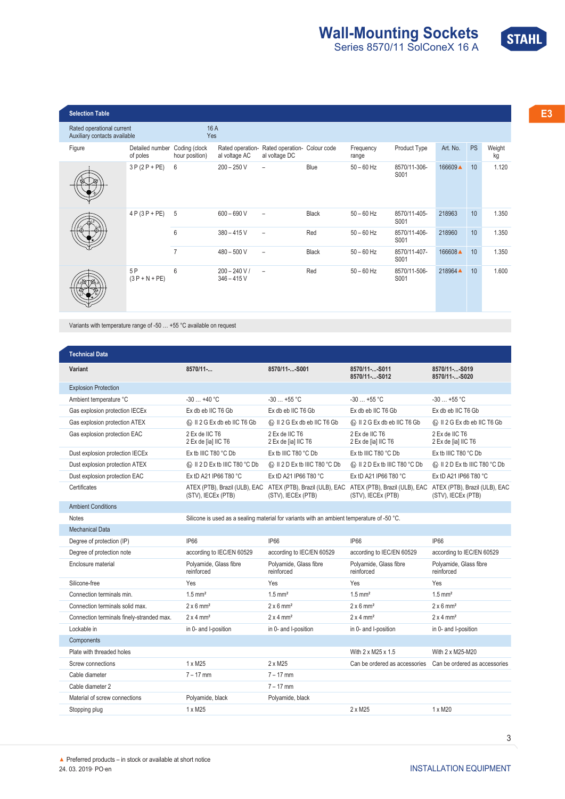

| <b>Selection Table</b><br>Rated operational current<br>Auxiliary contacts available |                                           | 16 A<br>Yes    |                                    |                                                                |       |                    |                      |             |    |              |
|-------------------------------------------------------------------------------------|-------------------------------------------|----------------|------------------------------------|----------------------------------------------------------------|-------|--------------------|----------------------|-------------|----|--------------|
| Figure                                                                              | Detailed number Coding (clock<br>of poles | hour position) | al voltage AC                      | Rated operation- Rated operation- Colour code<br>al voltage DC |       | Frequency<br>range | Product Type         | Art. No. PS |    | Weight<br>kg |
| ❤                                                                                   | $3P(2P+PE)$ 6                             |                | $200 - 250$ V $-$                  |                                                                | Blue  | $50 - 60$ Hz       | 8570/11-306-<br>S001 | 166609▲ 10  |    | 1.120        |
|                                                                                     | $4 P (3 P + P E) 5$                       |                | $600 - 690 V -$                    |                                                                | Black | $50 - 60$ Hz       | 8570/11-405-<br>S001 | 218963      | 10 |              |
|                                                                                     |                                           | $\kappa$       | $380 - 415V -$                     |                                                                | Red   | $50 - 60$ Hz       | 8570/11-406-<br>S001 | 218960      | 10 | 1.350        |
|                                                                                     |                                           |                | $480 - 500$ V                      | $\sim$                                                         | Black | $50 - 60$ Hz       | 8570/11-407-<br>S001 | 166608 ▲    | 10 | 1.350        |
| $\widehat{\mathbb{Z}}$<br>-*-*-*-                                                   | 5 P<br>$(3 P + N + PE)$                   | - h            | $200 - 240 V / -$<br>$346 - 415$ V |                                                                | Red   | $50 - 60$ Hz       | 8570/11-506-<br>S001 | 218964▲ 10  |    | 1.600        |

Variants with temperature range of -50 … +55 °C available on request

| <b>Technical Data</b>           |                                                     |                                                                                            |                                                                                   |                                                     |
|---------------------------------|-----------------------------------------------------|--------------------------------------------------------------------------------------------|-----------------------------------------------------------------------------------|-----------------------------------------------------|
| Variant                         | $8570/11-.$                                         | 8570/11--S001                                                                              | 8570/11--S011<br>8570/11--S012                                                    | 8570/11--S019<br>8570/11--S020                      |
| <b>Explosion Protection</b>     |                                                     |                                                                                            |                                                                                   |                                                     |
| Ambient temperature °C          | $-30+40$ °C                                         | $-30+55$ °C                                                                                | $-30$ +55 °C                                                                      | $-30+55$ °C                                         |
| Gas explosion protection IECEx  | Ex db eb IIC T6 Gb                                  | Ex db eb IIC T6 Gb                                                                         | Ex db eb IIC T6 Gb                                                                | Ex db eb IIC T6 Gb                                  |
| Gas explosion protection ATEX   | t II 2 G Ex db eb IIC T6 Gb                         | to II 2 G Ex db eb IIC T6 Gb                                                               | t II 2 G Ex db eb IIC T6 Gb                                                       | t II 2 G Ex db eb IIC T6 Gb                         |
| Gas explosion protection EAC    | 2 Ex de IIC T6<br>2 Ex de [ia] IIC T6               | 2 Ex de IIC T6<br>2 Ex de [ia] IIC T6                                                      | 2 Ex de IIC T6<br>2 Ex de [ia] IIC T6                                             | 2 Ex de IIC T6<br>2 Ex de [ia] IIC T6               |
| Dust explosion protection IECEx | Ex tb IIIC T80 °C Db                                | Ex tb IIIC T80 °C Db                                                                       | Ex tb IIIC T80 °C Db                                                              | Ex tb IIIC T80 °C Db                                |
| Dust explosion protection ATEX  | <b>ED II 2 D Ex tb IIIC T80 °C Db</b>               | to II 2 D Ex tb IIIC T80 °C Db                                                             | <b>E</b> II 2 D Ex tb IIIC T80 °C Db                                              | <b>E</b> II 2 D Ex tb IIIC T80 °C Db                |
| Dust explosion protection EAC   | Ex tD A21 IP66 T80 °C                               | Ex tD A21 IP66 T80 °C                                                                      | Ex tD A21 IP66 T80 °C                                                             | Ex tD A21 IP66 T80 °C                               |
| Certificates                    | ATEX (PTB), Brazil (ULB), EAC<br>(STV), IECEx (PTB) | (STV), IECEx (PTB)                                                                         | ATEX (PTB), Brazil (ULB), EAC ATEX (PTB), Brazil (ULB), EAC<br>(STV), IECEx (PTB) | ATEX (PTB), Brazil (ULB), EAC<br>(STV), IECEx (PTB) |
| <b>Ambient Conditions</b>       |                                                     |                                                                                            |                                                                                   |                                                     |
| <b>Notes</b>                    |                                                     | Silicone is used as a sealing material for variants with an ambient temperature of -50 °C. |                                                                                   |                                                     |
| <b>Mechanical Data</b>          |                                                     |                                                                                            |                                                                                   |                                                     |
| Degree of protection (IP)       | <b>IP66</b>                                         | <b>IP66</b>                                                                                | <b>IP66</b>                                                                       | <b>IP66</b>                                         |
| Degree of protection note       | according to IEC/EN 60529                           | according to IEC/EN 60529                                                                  | according to IEC/EN 60529                                                         | according to IEC/EN 60529                           |
| Enclosure material              | Polyamide, Glass fibre<br>reinforced                | Polyamide, Glass fibre<br>reinforced                                                       | Polyamide, Glass fibre<br>reinforced                                              | Polyamide, Glass fibre<br>reinforced                |
| Silicone-free                   | Yes                                                 | Yes                                                                                        | Yes                                                                               | Yes                                                 |
| Connection terminals min.       | $1.5$ mm <sup>2</sup>                               | $1.5$ mm <sup>2</sup>                                                                      | $1.5$ mm <sup>2</sup>                                                             | $1.5$ mm <sup>2</sup>                               |

| Connection terminals solid max.           | $2 \times 6$ mm <sup>2</sup> | $2 \times 6$ mm <sup>2</sup> | $2 \times 6$ mm <sup>2</sup>  | $2 \times 6$ mm <sup>2</sup>  |
|-------------------------------------------|------------------------------|------------------------------|-------------------------------|-------------------------------|
| Connection terminals finely-stranded max. | $2 \times 4$ mm <sup>2</sup> | $2 \times 4$ mm <sup>2</sup> | $2 \times 4$ mm <sup>2</sup>  | $2 \times 4$ mm <sup>2</sup>  |
| Lockable in                               | in 0- and I-position         | in 0- and I-position         | in 0- and I-position          | in 0- and I-position          |
| Components                                |                              |                              |                               |                               |
| Plate with threaded holes                 |                              |                              | With 2 x M25 x 1.5            | With 2 x M25-M20              |
| Screw connections                         | 1 x M25                      | $2 \times M25$               | Can be ordered as accessories | Can be ordered as accessories |
| Cable diameter                            | $7 - 17$ mm                  | $7 - 17$ mm                  |                               |                               |
| Cable diameter 2                          |                              | $7 - 17$ mm                  |                               |                               |
| Material of screw connections             | Polyamide, black             | Polyamide, black             |                               |                               |
| Stopping plug                             | 1 x M25                      |                              | 2 x M25                       | 1 x M20                       |

3